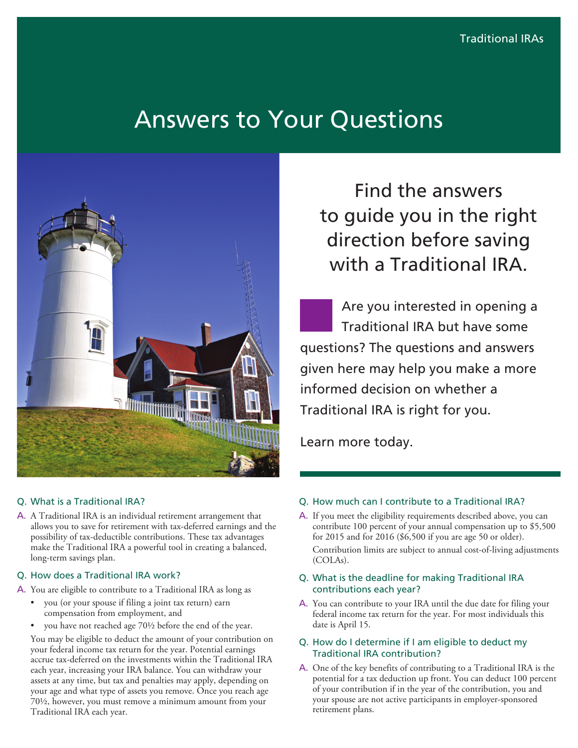# Answers to Your Questions



## Q. What is a Traditional IRA?

A. A Traditional IRA is an individual retirement arrangement that allows you to save for retirement with tax-deferred earnings and the possibility of tax-deductible contributions. These tax advantages make the Traditional IRA a powerful tool in creating a balanced, long-term savings plan.

#### Q. How does a Traditional IRA work?

A. You are eligible to contribute to a Traditional IRA as long as

- you (or your spouse if filing a joint tax return) earn compensation from employment, and
- you have not reached age 70½ before the end of the year.

You may be eligible to deduct the amount of your contribution on your federal income tax return for the year. Potential earnings accrue tax-deferred on the investments within the Traditional IRA each year, increasing your IRA balance. You can withdraw your assets at any time, but tax and penalties may apply, depending on your age and what type of assets you remove. Once you reach age 70½, however, you must remove a minimum amount from your Traditional IRA each year.

Find the answers to guide you in the right direction before saving with a Traditional IRA.

Are you interested in opening a Traditional IRA but have some questions? The questions and answers given here may help you make a more informed decision on whether a Traditional IRA is right for you.

Learn more today.

#### Q. How much can I contribute to a Traditional IRA?

A. If you meet the eligibility requirements described above, you can contribute 100 percent of your annual compensation up to \$5,500 for 2015 and for 2016 (\$6,500 if you are age 50 or older).

Contribution limits are subject to annual cost-of-living adjustments (COLAs).

- Q. What is the deadline for making Traditional IRA contributions each year?
- A. You can contribute to your IRA until the due date for filing your federal income tax return for the year. For most individuals this date is April 15.
- Q. How do I determine if I am eligible to deduct my Traditional IRA contribution?
- A. One of the key benefits of contributing to a Traditional IRA is the potential for a tax deduction up front. You can deduct 100 percent of your contribution if in the year of the contribution, you and your spouse are not active participants in employer-sponsored retirement plans.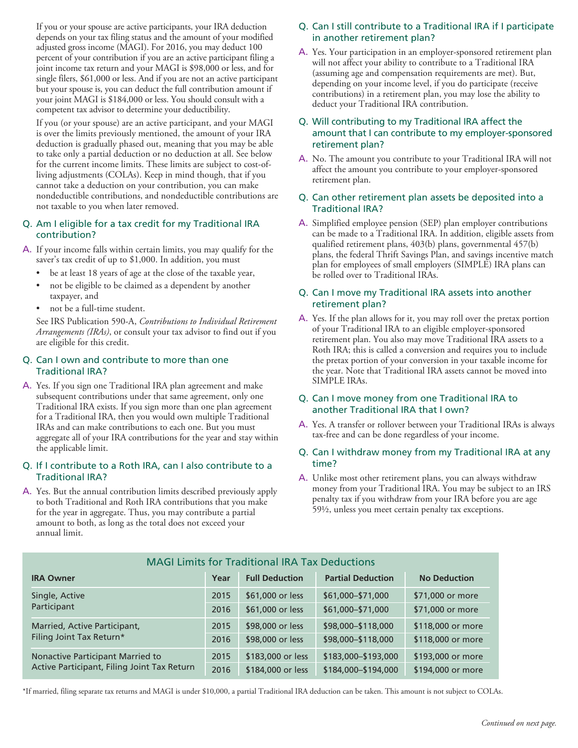If you or your spouse are active participants, your IRA deduction depends on your tax filing status and the amount of your modified adjusted gross income (MAGI). For 2016, you may deduct 100 percent of your contribution if you are an active participant filing a joint income tax return and your MAGI is \$98,000 or less, and for single filers, \$61,000 or less. And if you are not an active participant but your spouse is, you can deduct the full contribution amount if your joint MAGI is \$184,000 or less. You should consult with a competent tax advisor to determine your deductibility.

If you (or your spouse) are an active participant, and your MAGI is over the limits previously mentioned, the amount of your IRA deduction is gradually phased out, meaning that you may be able to take only a partial deduction or no deduction at all. See below for the current income limits. These limits are subject to cost-ofliving adjustments (COLAs). Keep in mind though, that if you cannot take a deduction on your contribution, you can make nondeductible contributions, and nondeductible contributions are not taxable to you when later removed.

#### Q. Am I eligible for a tax credit for my Traditional IRA contribution?

- A. If your income falls within certain limits, you may qualify for the saver's tax credit of up to \$1,000. In addition, you must
	- be at least 18 years of age at the close of the taxable year,
	- not be eligible to be claimed as a dependent by another taxpayer, and
	- not be a full-time student.

See IRS Publication 590-A, *Contributions to Individual Retirement Arrangements (IRAs)*, or consult your tax advisor to find out if you are eligible for this credit.

#### Q. Can I own and contribute to more than one Traditional IRA?

A. Yes. If you sign one Traditional IRA plan agreement and make subsequent contributions under that same agreement, only one Traditional IRA exists. If you sign more than one plan agreement for a Traditional IRA, then you would own multiple Traditional IRAs and can make contributions to each one. But you must aggregate all of your IRA contributions for the year and stay within the applicable limit.

#### Q. If I contribute to a Roth IRA, can I also contribute to a Traditional IRA?

A. Yes. But the annual contribution limits described previously apply to both Traditional and Roth IRA contributions that you make for the year in aggregate. Thus, you may contribute a partial amount to both, as long as the total does not exceed your annual limit.

# Q. Can I still contribute to a Traditional IRA if I participate in another retirement plan?

A. Yes. Your participation in an employer-sponsored retirement plan will not affect your ability to contribute to a Traditional IRA (assuming age and compensation requirements are met). But, depending on your income level, if you do participate (receive contributions) in a retirement plan, you may lose the ability to deduct your Traditional IRA contribution.

#### Q. Will contributing to my Traditional IRA affect the amount that I can contribute to my employer-sponsored retirement plan?

A. No. The amount you contribute to your Traditional IRA will not affect the amount you contribute to your employer-sponsored retirement plan.

### Q. Can other retirement plan assets be deposited into a Traditional IRA?

A. Simplified employee pension (SEP) plan employer contributions can be made to a Traditional IRA. In addition, eligible assets from qualified retirement plans, 403(b) plans, governmental 457(b) plans, the federal Thrift Savings Plan, and savings incentive match plan for employees of small employers (SIMPLE) IRA plans can be rolled over to Traditional IRAs.

#### Q. Can I move my Traditional IRA assets into another retirement plan?

A. Yes. If the plan allows for it, you may roll over the pretax portion of your Traditional IRA to an eligible employer-sponsored retirement plan. You also may move Traditional IRA assets to a Roth IRA; this is called a conversion and requires you to include the pretax portion of your conversion in your taxable income for the year. Note that Traditional IRA assets cannot be moved into SIMPLE IRAs.

#### Q. Can I move money from one Traditional IRA to another Traditional IRA that I own?

A. Yes. A transfer or rollover between your Traditional IRAs is always tax-free and can be done regardless of your income.

#### Q. Can I withdraw money from my Traditional IRA at any time?

A. Unlike most other retirement plans, you can always withdraw money from your Traditional IRA. You may be subject to an IRS penalty tax if you withdraw from your IRA before you are age 59½, unless you meet certain penalty tax exceptions.

| MAGI Limits for Traditional IRA Tax Deductions                                  |      |                       |                          |                     |
|---------------------------------------------------------------------------------|------|-----------------------|--------------------------|---------------------|
| <b>IRA Owner</b>                                                                | Year | <b>Full Deduction</b> | <b>Partial Deduction</b> | <b>No Deduction</b> |
| Single, Active<br>Participant                                                   | 2015 | \$61,000 or less      | \$61,000-\$71,000        | \$71,000 or more    |
|                                                                                 | 2016 | \$61,000 or less      | \$61,000-\$71,000        | \$71,000 or more    |
| Married, Active Participant,<br>Filing Joint Tax Return*                        | 2015 | \$98,000 or less      | \$98,000-\$118,000       | \$118,000 or more   |
|                                                                                 | 2016 | \$98,000 or less      | \$98,000-\$118,000       | \$118,000 or more   |
| Nonactive Participant Married to<br>Active Participant, Filing Joint Tax Return | 2015 | \$183,000 or less     | \$183,000-\$193,000      | \$193,000 or more   |
|                                                                                 | 2016 | \$184,000 or less     | \$184,000-\$194,000      | \$194,000 or more   |

# MAGI Limits for Traditional IRA Tax Deductions

\*If married, filing separate tax returns and MAGI is under \$10,000, a partial Traditional IRA deduction can be taken. This amount is not subject to COLAs.